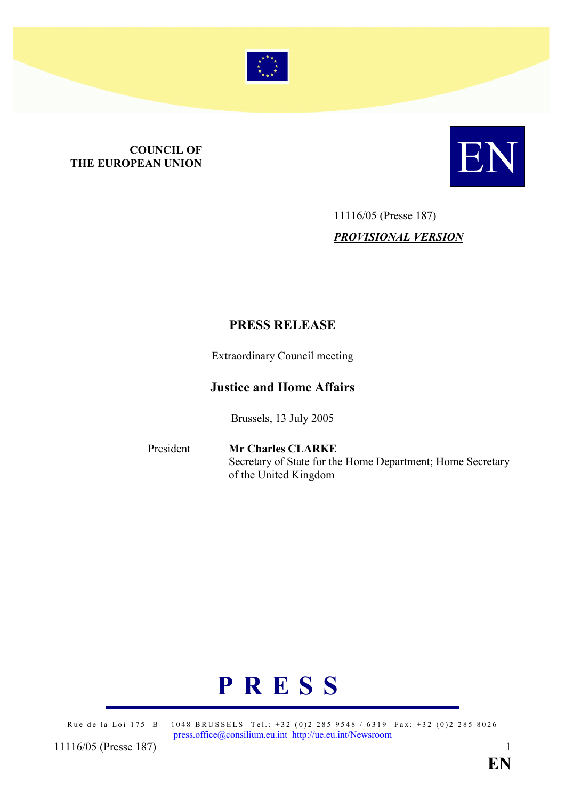

# **COUNCIL OF<br>THE EUROPEAN UNION**



# 11116/05 (Presse 187) PROVISIONAL VERSION

# PRESS RELEASE

Extraordinary Council meeting

# Justice and Home Affairs

Brussels, 13 July 2005

President Mr Charles CLARKE Secretary of State for the Home Department; Home Secretary of the United Kingdom



Rue de la Loi 175 B – 1048 BRUSSELS Tel.: +32 (0)2 285 9548 / 6319 Fax: +32 (0)2 285 8026 press.office@consilium.eu.int http://ue.eu.int/Newsroom

11116/05 (Presse 187) 1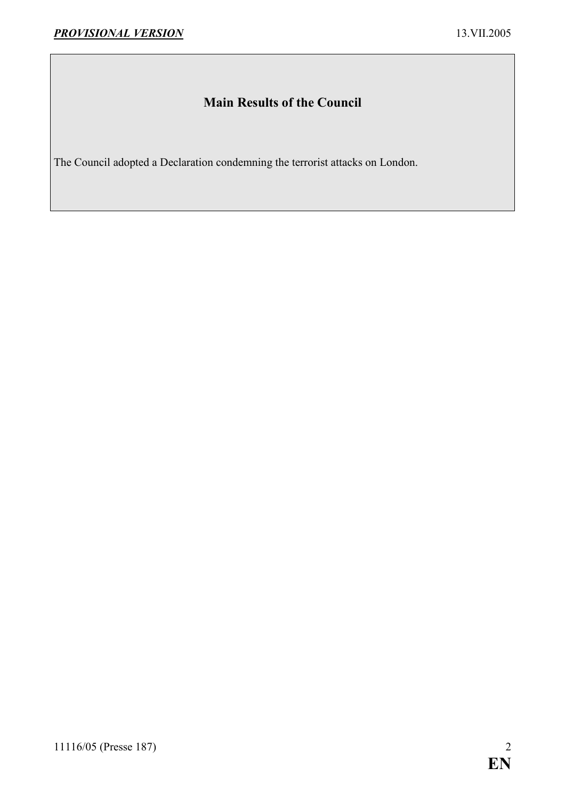# Main Results of the Council

The Council adopted a Declaration condemning the terrorist attacks on London.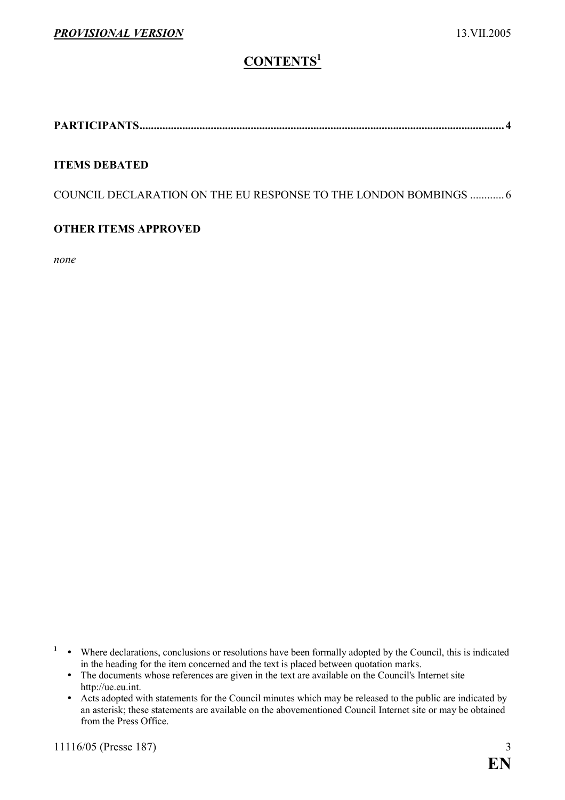# CONTENTS<sup>1</sup>

PARTICIPANTS................................................................................................................................ 4

### ITEMS DEBATED

COUNCIL DECLARATION ON THE EU RESPONSE TO THE LONDON BOMBINGS ............ 6

### OTHER ITEMS APPROVED

none

- $\cdot$  Where declarations, conclusions or resolutions have been formally adopted by the Council, this is indicated in the heading for the item concerned and the text is placed between quotation marks.
- The documents whose references are given in the text are available on the Council's Internet site http://ue.eu.int.
	- $\bullet$  Acts adopted with statements for the Council minutes which may be released to the public are indicated by an asterisk; these statements are available on the abovementioned Council Internet site or may be obtained from the Press Office.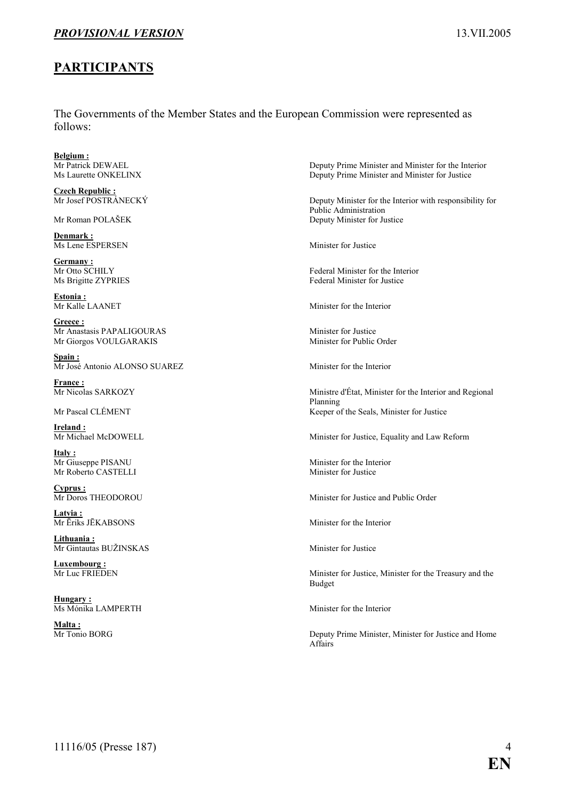### PROVISIONAL VERSION 13. 13. VII.2005

### PARTICIPANTS

The Governments of the Member States and the European Commission were represented as follows:

**Belgium :**<br>Mr Patrick DEWAEL

Czech Republic :<br>Mr Josef POSTRÁNECKÝ

Denmark : Ms Lene ESPERSEN Minister for Justice

Germany :<br>Mr Otto SCHILY

Estonia :<br>Mr Kalle LAANET

Greece : Mr Anastasis PAPALIGOURAS<br>
Mr Giorgos VOULGARAKIS<br>
Minister for Public Order Mr Giorgos VOULGARAKIS

Spain : Mr José Antonio ALONSO SUAREZ Minister for the Interior

**France :**<br>Mr Nicolas SARKOZY

Ireland:<br>Mr Michael McDOWELL

Italy : Mr Giuseppe PISANU Minister for the Interior<br>Mr Roberto CASTELLI Minister for Justice Mr Roberto CASTELLI

Cyprus :<br>Mr Doros THEODOROU

Latvia :<br>Mr Ēriks JĒKABSONS

Lithuania : Mr Gintautas BUŽINSKAS Minister for Justice

**Luxembourg:**<br>Mr Luc FRIEDEN

Hungary: Ms Mónika LAMPERTH Minister for the Interior

Malta:<br>Mr Tonio BORG

Deputy Prime Minister and Minister for the Interior Ms Laurette ONKELINX Deputy Prime Minister and Minister for Justice

Deputy Minister for the Interior with responsibility for Public Administration Mr Roman POLAŠEK Deputy Minister for Justice

Federal Minister for the Interior Ms Brigitte ZYPRIES Federal Minister for Justice

Minister for the Interior

Ministre d'État, Minister for the Interior and Regional Planning Mr Pascal CLÉMENT Keeper of the Seals, Minister for Justice

Minister for Justice, Equality and Law Reform

Minister for Justice and Public Order

Minister for the Interior

Minister for Justice, Minister for the Treasury and the Budget

Deputy Prime Minister, Minister for Justice and Home Affairs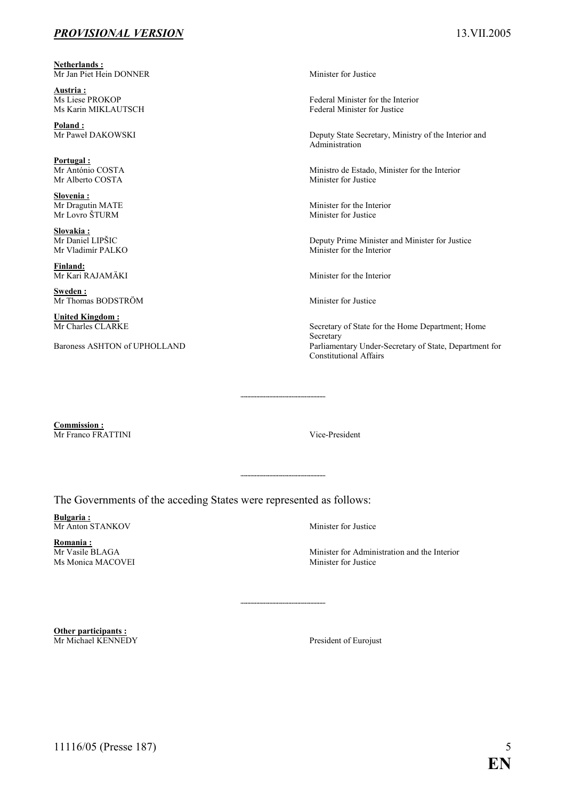### PROVISIONAL VERSION 13.VII.2005

Netherlands : Mr Jan Piet Hein DONNER Minister for Justice

Austria :<br>Ms Liese PROKOP

Poland :<br>Mr Paweł DAKOWSKI

Portugal :<br>Mr António COSTA

**Slovenia :**<br>Mr Dragutin MATE

Slovakia:<br>Mr Daniel LIPŠIC

Finland:

Sweden : Mr Thomas BODSTRÖM Minister for Justice

**United Kingdom:**<br>Mr Charles CLARKE

Ms Liese PROKOP Federal Minister for the Interior<br>
Ms Karin MIKLAUTSCH Federal Minister for Justice Federal Minister for Justice

> Deputy State Secretary, Ministry of the Interior and Administration

Ministro de Estado, Minister for the Interior Mr Alberto COSTA Minister for Justice

Minister for the Interior Mr Lovro ŠTURM Minister for Justice

Deputy Prime Minister and Minister for Justice Mr Vladimír PALKO Minister for the Interior

Mr Kari RAJAMÄKI Minister for the Interior

Secretary of State for the Home Department; Home Secretary Baroness ASHTON of UPHOLLAND Parliamentary Under-Secretary of State, Department for Constitutional Affairs

Commission : Mr Franco FRATTINI Vice-President

The Governments of the acceding States were represented as follows:

Bulgaria : Mr Anton STANKOV Minister for Justice

**Romania :**<br>Mr Vasile BLAGA Ms Monica MACOVEI Minister for Justice

Minister for Administration and the Interior

Other participants : **Mr Michael KENNEDY** President of Eurojust

11116/05 (Presse 187) 5

**EN**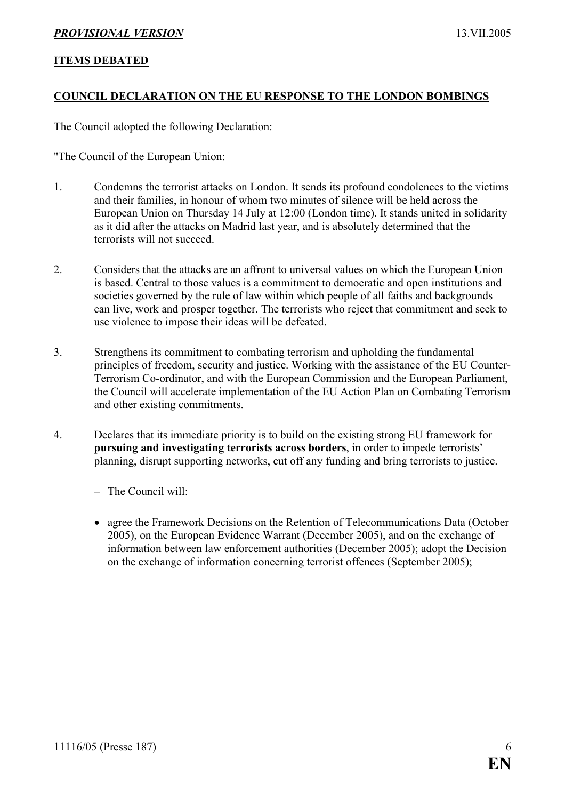### PROVISIONAL VERSION 13.VII.2005

### ITEMS DEBATED

### COUNCIL DECLARATION ON THE EU RESPONSE TO THE LONDON BOMBINGS

The Council adopted the following Declaration:

"The Council of the European Union:

- 1. Condemns the terrorist attacks on London. It sends its profound condolences to the victims and their families, in honour of whom two minutes of silence will be held across the European Union on Thursday 14 July at 12:00 (London time). It stands united in solidarity as it did after the attacks on Madrid last year, and is absolutely determined that the terrorists will not succeed.
- 2. Considers that the attacks are an affront to universal values on which the European Union is based. Central to those values is a commitment to democratic and open institutions and societies governed by the rule of law within which people of all faiths and backgrounds can live, work and prosper together. The terrorists who reject that commitment and seek to use violence to impose their ideas will be defeated.
- 3. Strengthens its commitment to combating terrorism and upholding the fundamental principles of freedom, security and justice. Working with the assistance of the EU Counter-Terrorism Co-ordinator, and with the European Commission and the European Parliament, the Council will accelerate implementation of the EU Action Plan on Combating Terrorism and other existing commitments.
- 4. Declares that its immediate priority is to build on the existing strong EU framework for pursuing and investigating terrorists across borders, in order to impede terrorists' planning, disrupt supporting networks, cut off any funding and bring terrorists to justice.
	- The Council will:
	- agree the Framework Decisions on the Retention of Telecommunications Data (October 2005), on the European Evidence Warrant (December 2005), and on the exchange of information between law enforcement authorities (December 2005); adopt the Decision on the exchange of information concerning terrorist offences (September 2005);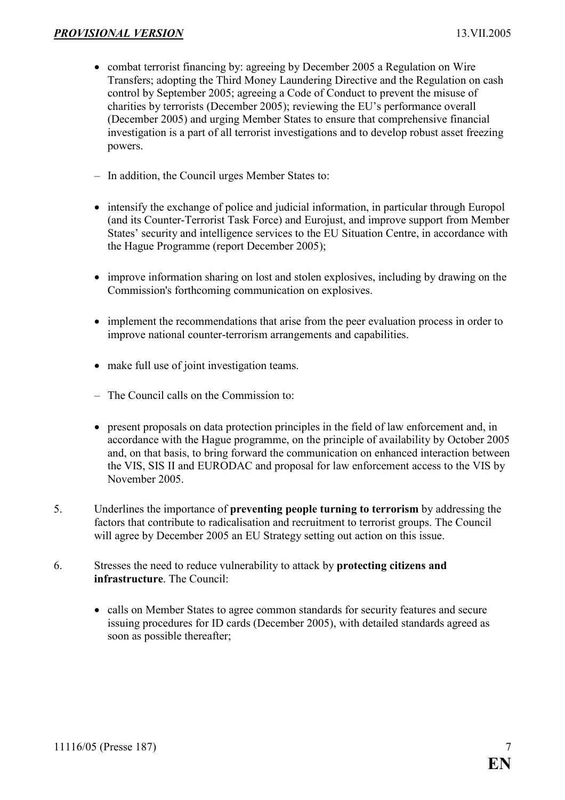- combat terrorist financing by: agreeing by December 2005 a Regulation on Wire Transfers; adopting the Third Money Laundering Directive and the Regulation on cash control by September 2005; agreeing a Code of Conduct to prevent the misuse of charities by terrorists (December 2005); reviewing the EU's performance overall (December 2005) and urging Member States to ensure that comprehensive financial investigation is a part of all terrorist investigations and to develop robust asset freezing powers.
- In addition, the Council urges Member States to:
- intensify the exchange of police and judicial information, in particular through Europol (and its Counter-Terrorist Task Force) and Eurojust, and improve support from Member States' security and intelligence services to the EU Situation Centre, in accordance with the Hague Programme (report December 2005);
- improve information sharing on lost and stolen explosives, including by drawing on the Commission's forthcoming communication on explosives.
- implement the recommendations that arise from the peer evaluation process in order to improve national counter-terrorism arrangements and capabilities.
- make full use of joint investigation teams.
- The Council calls on the Commission to:
- present proposals on data protection principles in the field of law enforcement and, in accordance with the Hague programme, on the principle of availability by October 2005 and, on that basis, to bring forward the communication on enhanced interaction between the VIS, SIS II and EURODAC and proposal for law enforcement access to the VIS by November 2005.
- 5. Underlines the importance of preventing people turning to terrorism by addressing the factors that contribute to radicalisation and recruitment to terrorist groups. The Council will agree by December 2005 an EU Strategy setting out action on this issue.
- 6. Stresses the need to reduce vulnerability to attack by protecting citizens and infrastructure. The Council:
	- calls on Member States to agree common standards for security features and secure issuing procedures for ID cards (December 2005), with detailed standards agreed as soon as possible thereafter;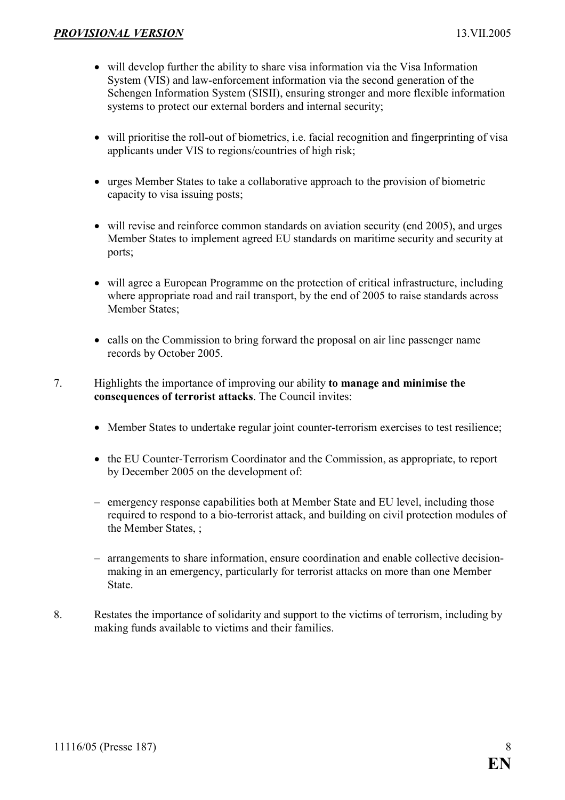- will develop further the ability to share visa information via the Visa Information System (VIS) and law-enforcement information via the second generation of the Schengen Information System (SISII), ensuring stronger and more flexible information systems to protect our external borders and internal security;
- will prioritise the roll-out of biometrics, i.e. facial recognition and fingerprinting of visa applicants under VIS to regions/countries of high risk;
- urges Member States to take a collaborative approach to the provision of biometric capacity to visa issuing posts;
- will revise and reinforce common standards on aviation security (end 2005), and urges Member States to implement agreed EU standards on maritime security and security at ports;
- will agree a European Programme on the protection of critical infrastructure, including where appropriate road and rail transport, by the end of 2005 to raise standards across Member States;
- calls on the Commission to bring forward the proposal on air line passenger name records by October 2005.

### 7. Highlights the importance of improving our ability to manage and minimise the consequences of terrorist attacks. The Council invites:

- Member States to undertake regular joint counter-terrorism exercises to test resilience;
- the EU Counter-Terrorism Coordinator and the Commission, as appropriate, to report by December 2005 on the development of:
- emergency response capabilities both at Member State and EU level, including those required to respond to a bio-terrorist attack, and building on civil protection modules of the Member States, ;
- arrangements to share information, ensure coordination and enable collective decisionmaking in an emergency, particularly for terrorist attacks on more than one Member State.
- 8. Restates the importance of solidarity and support to the victims of terrorism, including by making funds available to victims and their families.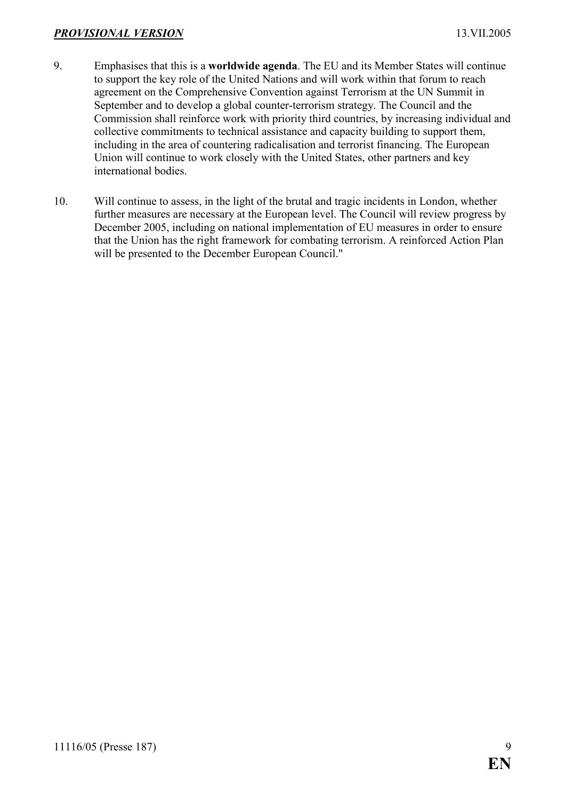### PROVISIONAL VERSION 13.VII.2005

- 9. Emphasises that this is a worldwide agenda. The EU and its Member States will continue to support the key role of the United Nations and will work within that forum to reach agreement on the Comprehensive Convention against Terrorism at the UN Summit in September and to develop a global counter-terrorism strategy. The Council and the Commission shall reinforce work with priority third countries, by increasing individual and collective commitments to technical assistance and capacity building to support them, including in the area of countering radicalisation and terrorist financing. The European Union will continue to work closely with the United States, other partners and key international bodies.
- 10. Will continue to assess, in the light of the brutal and tragic incidents in London, whether further measures are necessary at the European level. The Council will review progress by December 2005, including on national implementation of EU measures in order to ensure that the Union has the right framework for combating terrorism. A reinforced Action Plan will be presented to the December European Council."